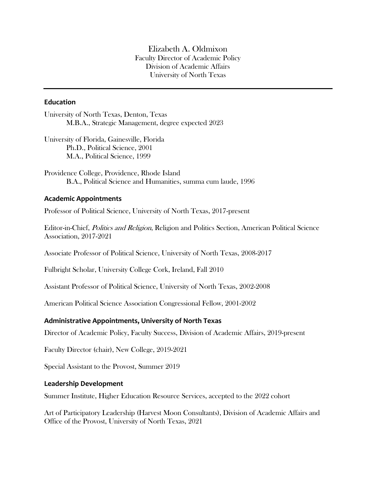Elizabeth A. Oldmixon Faculty Director of Academic Policy Division of Academic Affairs University of North Texas

### **Education**

University of North Texas, Denton, Texas M.B.A., Strategic Management, degree expected 2023

University of Florida, Gainesville, Florida Ph.D., Political Science, 2001 M.A., Political Science, 1999

Providence College, Providence, Rhode Island B.A., Political Science and Humanities, summa cum laude, 1996

### **Academic Appointments**

Professor of Political Science, University of North Texas, 2017-present

Editor-in-Chief, Politics and Religion, Religion and Politics Section, American Political Science Association, 2017-2021

Associate Professor of Political Science, University of North Texas, 2008-2017

Fulbright Scholar, University College Cork, Ireland, Fall 2010

Assistant Professor of Political Science, University of North Texas, 2002-2008

American Political Science Association Congressional Fellow, 2001-2002

### **Administrative Appointments, University of North Texas**

Director of Academic Policy, Faculty Success, Division of Academic Affairs, 2019-present

Faculty Director (chair), New College, 2019-2021

Special Assistant to the Provost, Summer 2019

#### **Leadership Development**

Summer Institute, Higher Education Resource Services, accepted to the 2022 cohort

Art of Participatory Leadership (Harvest Moon Consultants), Division of Academic Affairs and Office of the Provost, University of North Texas, 2021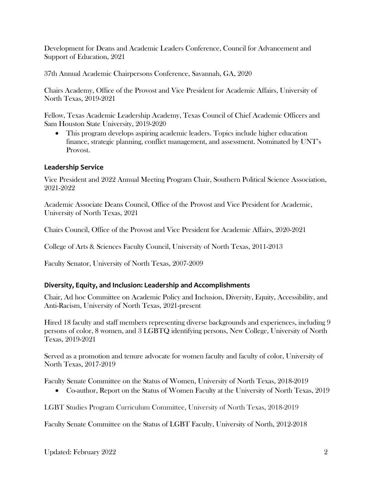Development for Deans and Academic Leaders Conference, Council for Advancement and Support of Education, 2021

37th Annual Academic Chairpersons Conference, Savannah, GA, 2020

Chairs Academy, Office of the Provost and Vice President for Academic Affairs, University of North Texas, 2019-2021

Fellow, Texas Academic Leadership Academy, Texas Council of Chief Academic Officers and Sam Houston State University, 2019-2020

• This program develops aspiring academic leaders. Topics include higher education finance, strategic planning, conflict management, and assessment. Nominated by UNT's Provost.

## **Leadership Service**

Vice President and 2022 Annual Meeting Program Chair, Southern Political Science Association, 2021-2022

Academic Associate Deans Council, Office of the Provost and Vice President for Academic, University of North Texas, 2021

Chairs Council, Office of the Provost and Vice President for Academic Affairs, 2020-2021

College of Arts & Sciences Faculty Council, University of North Texas, 2011-2013

Faculty Senator, University of North Texas, 2007-2009

## **Diversity, Equity, and Inclusion: Leadership and Accomplishments**

Chair, Ad hoc Committee on Academic Policy and Inclusion, Diversity, Equity, Accessibility, and Anti-Racism, University of North Texas, 2021-present

Hired 18 faculty and staff members representing diverse backgrounds and experiences, including 9 persons of color, 8 women, and 3 LGBTQ identifying persons, New College, University of North Texas, 2019-2021

Served as a promotion and tenure advocate for women faculty and faculty of color, University of North Texas, 2017-2019

Faculty Senate Committee on the Status of Women, University of North Texas, 2018-2019

• Co-author, Report on the Status of Women Faculty at the University of North Texas, 2019

LGBT Studies Program Curriculum Committee, University of North Texas, 2018-2019

Faculty Senate Committee on the Status of LGBT Faculty, University of North, 2012-2018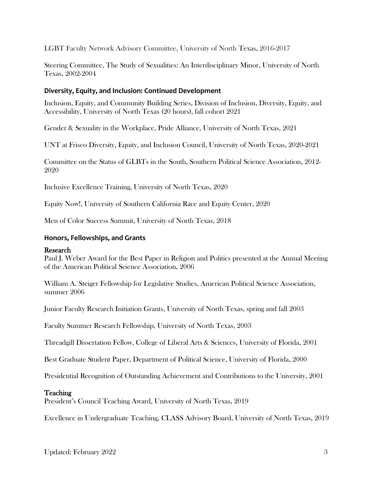LGBT Faculty Network Advisory Committee, University of North Texas, 2016-2017

Steering Committee, The Study of Sexualities: An Interdisciplinary Minor, University of North Texas, 2002-2004

## **Diversity, Equity, and Inclusion: Continued Development**

Inclusion, Equity, and Community Building Series, Division of Inclusion, Diversity, Equity, and Accessibility, University of North Texas (20 hours), fall cohort 2021

Gender & Sexuality in the Workplace, Pride Alliance, University of North Texas, 2021

UNT at Frisco Diversity, Equity, and Inclusion Council, University of North Texas, 2020-2021

Committee on the Status of GLBTs in the South, Southern Political Science Association, 2012- 2020

Inclusive Excellence Training, University of North Texas, 2020

Equity Now!, University of Southern California Race and Equity Center, 2020

Men of Color Success Summit, University of North Texas, 2018

### **Honors, Fellowships, and Grants**

### Research

Paul J. Weber Award for the Best Paper in Religion and Politics presented at the Annual Meeting of the American Political Science Association, 2006

William A. Steiger Fellowship for Legislative Studies, American Political Science Association, summer 2006

Junior Faculty Research Initiation Grants, University of North Texas, spring and fall 2003

Faculty Summer Research Fellowship, University of North Texas, 2003

Threadgill Dissertation Fellow, College of Liberal Arts & Sciences, University of Florida, 2001

Best Graduate Student Paper, Department of Political Science, University of Florida, 2000

Presidential Recognition of Outstanding Achievement and Contributions to the University, 2001

## Teaching

President's Council Teaching Award, University of North Texas, 2019

Excellence in Undergraduate Teaching, CLASS Advisory Board, University of North Texas, 2019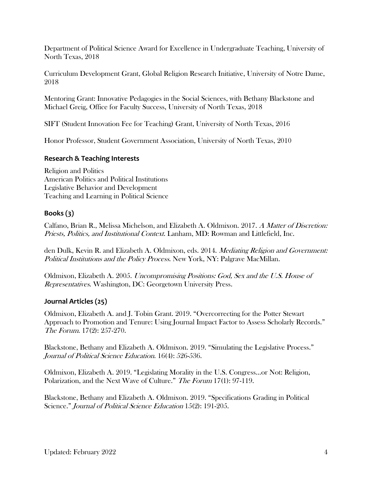Department of Political Science Award for Excellence in Undergraduate Teaching, University of North Texas, 2018

Curriculum Development Grant, Global Religion Research Initiative, University of Notre Dame, 2018

Mentoring Grant: Innovative Pedagogies in the Social Sciences, with Bethany Blackstone and Michael Greig, Office for Faculty Success, University of North Texas, 2018

SIFT (Student Innovation Fee for Teaching) Grant, University of North Texas, 2016

Honor Professor, Student Government Association, University of North Texas, 2010

## **Research & Teaching Interests**

Religion and Politics American Politics and Political Institutions Legislative Behavior and Development Teaching and Learning in Political Science

## **Books (3)**

Calfano, Brian R., Melissa Michelson, and Elizabeth A. Oldmixon. 2017. A Matter of Discretion: Priests, Politics, and Institutional Context. Lanham, MD: Rowman and Littlefield, Inc.

den Dulk, Kevin R. and Elizabeth A. Oldmixon, eds. 2014. *Mediating Religion and Government:* Political Institutions and the Policy Process. New York, NY: Palgrave MacMillan.

Oldmixon, Elizabeth A. 2005. Uncompromising Positions: God, Sex and the U.S. House of Representatives. Washington, DC: Georgetown University Press.

## **Journal Articles (25)**

Oldmixon, Elizabeth A. and J. Tobin Grant. 2019. "Overcorrecting for the Potter Stewart Approach to Promotion and Tenure: Using Journal Impact Factor to Assess Scholarly Records." The Forum. 17(2): 257-270.

Blackstone, Bethany and Elizabeth A. Oldmixon. 2019. "Simulating the Legislative Process." Journal of Political Science Education. 16(4): 526-536.

Oldmixon, Elizabeth A. 2019. "Legislating Morality in the U.S. Congress...or Not: Religion, Polarization, and the Next Wave of Culture." The Forum 17(1): 97-119.

Blackstone, Bethany and Elizabeth A. Oldmixon. 2019. "Specifications Grading in Political Science." Journal of Political Science Education 15(2): 191-205.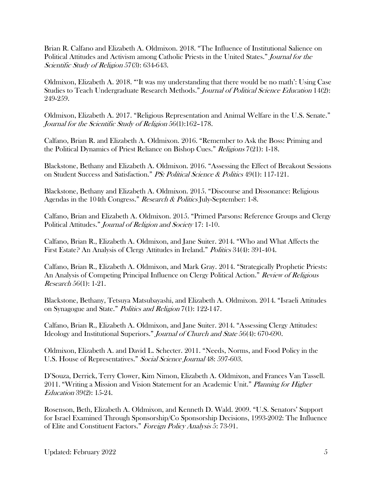Brian R. Calfano and Elizabeth A. Oldmixon. 2018. "The Influence of Institutional Salience on Political Attitudes and Activism among Catholic Priests in the United States." Journal for the Scientific Study of Religion 57(3): 634-643.

Oldmixon, Elizabeth A. 2018. "'It was my understanding that there would be no math': Using Case Studies to Teach Undergraduate Research Methods." Journal of Political Science Education 14(2): 249-259.

Oldmixon, Elizabeth A. 2017. "Religious Representation and Animal Welfare in the U.S. Senate." Journal for the Scientific Study of Religion 56(1):162–178.

Calfano, Brian R. and Elizabeth A. Oldmixon. 2016. "Remember to Ask the Boss: Priming and the Political Dynamics of Priest Reliance on Bishop Cues." Religions 7(21): 1-18.

Blackstone, Bethany and Elizabeth A. Oldmixon. 2016. "Assessing the Effect of Breakout Sessions on Student Success and Satisfaction." PS: Political Science & Politics 49(1): 117-121.

Blackstone, Bethany and Elizabeth A. Oldmixon. 2015. "Discourse and Dissonance: Religious Agendas in the 104th Congress." Research & Politics July-September: 1-8.

Calfano, Brian and Elizabeth A. Oldmixon. 2015. "Primed Parsons: Reference Groups and Clergy Political Attitudes." Journal of Religion and Society 17: 1-10.

Calfano, Brian R., Elizabeth A. Oldmixon, and Jane Suiter. 2014. "Who and What Affects the First Estate? An Analysis of Clergy Attitudes in Ireland." Politics 34(4): 391-404.

Calfano, Brian R., Elizabeth A. Oldmixon, and Mark Gray. 2014. "Strategically Prophetic Priests: An Analysis of Competing Principal Influence on Clergy Political Action." Review of Religious Research 56(1): 1-21.

Blackstone, Bethany, Tetsuya Matsubayashi, and Elizabeth A. Oldmixon. 2014. "Israeli Attitudes on Synagogue and State." Politics and Religion 7(1): 122-147.

Calfano, Brian R., Elizabeth A. Oldmixon, and Jane Suiter. 2014. "Assessing Clergy Attitudes: Ideology and Institutional Superiors." Journal of Church and State 56(4): 670-690.

Oldmixon, Elizabeth A. and David L. Schecter. 2011. "Needs, Norms, and Food Policy in the U.S. House of Representatives." Social Science Journal 48: 597-603.

D'Souza, Derrick, Terry Clower, Kim Nimon, Elizabeth A. Oldmixon, and Frances Van Tassell. 2011. "Writing a Mission and Vision Statement for an Academic Unit." Planning for Higher Education 39(2): 15-24.

Rosenson, Beth, Elizabeth A. Oldmixon, and Kenneth D. Wald. 2009. "U.S. Senators' Support for Israel Examined Through Sponsorship/Co Sponsorship Decisions, 1993-2002: The Influence of Elite and Constituent Factors." Foreign Policy Analysis 5: 73-91.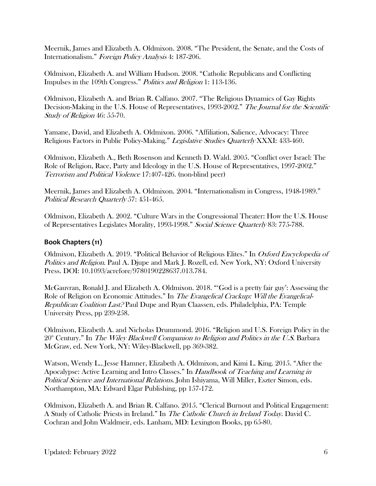Meernik, James and Elizabeth A. Oldmixon. 2008. "The President, the Senate, and the Costs of Internationalism." Foreign Policy Analysis 4: 187-206.

Oldmixon, Elizabeth A. and William Hudson. 2008. "Catholic Republicans and Conflicting Impulses in the 109th Congress." Politics and Religion 1: 113-136.

Oldmixon, Elizabeth A. and Brian R. Calfano. 2007. "The Religious Dynamics of Gay Rights Decision-Making in the U.S. House of Representatives, 1993-2002." The Journal for the Scientific Study of Religion 46: 55-70.

Yamane, David, and Elizabeth A. Oldmixon. 2006. "Affiliation, Salience, Advocacy: Three Religious Factors in Public Policy-Making." Legislative Studies Quarterly XXXI: 433-460.

Oldmixon, Elizabeth A., Beth Rosenson and Kenneth D. Wald. 2005. "Conflict over Israel: The Role of Religion, Race, Party and Ideology in the U.S. House of Representatives, 1997-2002." Terrorism and Political Violence 17:407-426. (non-blind peer)

Meernik, James and Elizabeth A. Oldmixon. 2004. "Internationalism in Congress, 1948-1989." Political Research Quarterly 57: 451-465.

Oldmixon, Elizabeth A. 2002. "Culture Wars in the Congressional Theater: How the U.S. House of Representatives Legislates Morality, 1993-1998." Social Science Quarterly 83: 775-788.

## **Book Chapters (11)**

Oldmixon, Elizabeth A. 2019. "Political Behavior of Religious Elites." In Oxford Encyclopedia of Politics and Religion. Paul A. Djupe and Mark J. Rozell, ed. New York, NY: Oxford University Press. DOI: 10.1093/acrefore/9780190228637.013.784.

McGauvran, Ronald J. and Elizabeth A. Oldmixon. 2018. "'God is a pretty fair guy': Assessing the Role of Religion on Economic Attitudes." In *The Evangelical Crackup: Will the Evangelical-*Republican Coalition Last? Paul Dupe and Ryan Claassen, eds. Philadelphia, PA: Temple University Press, pp 239-258.

Oldmixon, Elizabeth A. and Nicholas Drummond. 2016. "Religion and U.S. Foreign Policy in the  $20^{\circ}$  Century." In *The Wiley Blackwell Companion to Religion and Politics in the U.S.* Barbara McGraw, ed. New York, NY: Wiley-Blackwell, pp 369-382.

Watson, Wendy L., Jesse Hamner, Elizabeth A. Oldmixon, and Kimi L. King. 2015. "After the Apocalypse: Active Learning and Intro Classes." In Handbook of Teaching and Learning in Political Science and International Relations. John Ishiyama, Will Miller, Eszter Simon, eds. Northampton, MA: Edward Elgar Publishing, pp 157-172.

Oldmixon, Elizabeth A. and Brian R. Calfano. 2015. "Clerical Burnout and Political Engagement: A Study of Catholic Priests in Ireland." In The Catholic Church in Ireland Today. David C. Cochran and John Waldmeir, eds. Lanham, MD: Lexington Books, pp 65-80.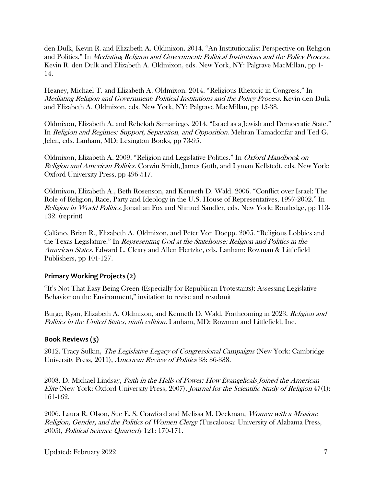den Dulk, Kevin R. and Elizabeth A. Oldmixon. 2014. "An Institutionalist Perspective on Religion and Politics." In Mediating Religion and Government: Political Institutions and the Policy Process. Kevin R. den Dulk and Elizabeth A. Oldmixon, eds. New York, NY: Palgrave MacMillan, pp 1- 14.

Heaney, Michael T. and Elizabeth A. Oldmixon. 2014. "Religious Rhetoric in Congress." In Mediating Religion and Government: Political Institutions and the Policy Process. Kevin den Dulk and Elizabeth A. Oldmixon, eds. New York, NY: Palgrave MacMillan, pp 15-38.

Oldmixon, Elizabeth A. and Rebekah Samaniego. 2014. "Israel as a Jewish and Democratic State." In *Religion and Regimes: Support, Separation, and Opposition*. Mehran Tamadonfar and Ted G. Jelen, eds. Lanham, MD: Lexington Books, pp 73-95.

Oldmixon, Elizabeth A. 2009. "Religion and Legislative Politics." In Oxford Handbook on Religion and American Politics. Corwin Smidt, James Guth, and Lyman Kellstedt, eds. New York: Oxford University Press, pp 496-517.

Oldmixon, Elizabeth A., Beth Rosenson, and Kenneth D. Wald. 2006. "Conflict over Israel: The Role of Religion, Race, Party and Ideology in the U.S. House of Representatives, 1997-2002." In Religion in World Politics. Jonathan Fox and Shmuel Sandler, eds. New York: Routledge, pp 113-132. (reprint)

Calfano, Brian R., Elizabeth A. Oldmixon, and Peter Von Doepp. 2005. "Religious Lobbies and the Texas Legislature." In Representing God at the Statehouse: Religion and Politics in the American States. Edward L. Cleary and Allen Hertzke, eds. Lanham: Rowman & Littlefield Publishers, pp 101-127.

## **Primary Working Projects (2)**

"It's Not That Easy Being Green (Especially for Republican Protestants): Assessing Legislative Behavior on the Environment," invitation to revise and resubmit

Burge, Ryan, Elizabeth A. Oldmixon, and Kenneth D. Wald. Forthcoming in 2023. Religion and Politics in the United States, ninth edition. Lanham, MD: Rowman and Littlefield, Inc.

# **Book Reviews (3)**

2012. Tracy Sulkin, The Legislative Legacy of Congressional Campaigns (New York: Cambridge University Press, 2011), American Review of Politics 33: 36-338.

2008. D. Michael Lindsay, Faith in the Halls of Power: How Evangelicals Joined the American Elite (New York: Oxford University Press, 2007), Journal for the Scientific Study of Religion 47(1): 161-162.

2006. Laura R. Olson, Sue E. S. Crawford and Melissa M. Deckman, Women with a Mission: Religion, Gender, and the Politics of Women Clergy (Tuscaloosa: University of Alabama Press, 2005), Political Science Quarterly 121: 170-171.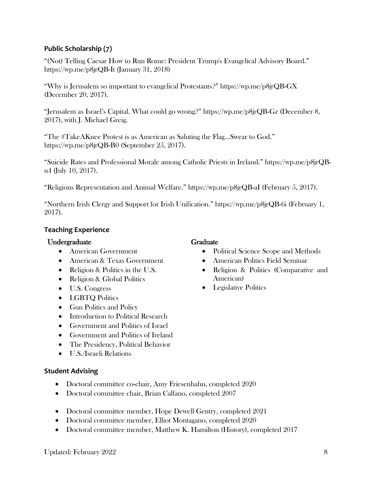## **Public Scholarship (7)**

"(Not) Telling Caesar How to Run Rome: President Trump's Evangelical Advisory Board." <https://wp.me/p8jrQB-It> (January 31, 2018)

"Why is Jerusalem so important to evangelical Protestants?"<https://wp.me/p8jrQB-GX> (December 20, 2017).

"Jerusalem as Israel's Capital. What could go wrong?"<https://wp.me/p8jrQB-Gz> (December 8, 2017), with J. Michael Greig.

"The #TakeAKnee Protest is as American as Saluting the Flag…Swear to God." https://wp.me/p8jrQB-B0 (September 25, 2017).

"Suicide Rates and Professional Morale among Catholic Priests in Ireland." https://wp.me/p8jrQBu4 (July 10, 2017).

"Religious Representation and Animal Welfare." https://wp.me/p8jrQB-aI (February 5, 2017).

"Northern Irish Clergy and Support for Irish Unification." https://wp.me/p8jrQB-6i (February 1, 2017).

## **Teaching Experience**

## Undergraduate

- American Government
- American & Texas Government
- Religion & Politics in the U.S.
- Religion & Global Politics
- U.S. Congress
- LGBTQ Politics
- Gun Politics and Policy
- Introduction to Political Research
- Government and Politics of Israel
- Government and Politics of Ireland
- The Presidency, Political Behavior
- U.S./Israeli Relations

## **Student Advising**

- Doctoral committee co-chair, Amy Friesenhahn, completed 2020
- Doctoral committee chair, Brian Calfano, completed 2007
- Doctoral committee member, Hope Dewell Gentry, completed 2021
- Doctoral committee member, Elliot Montagano, completed 2020
- Doctoral committee member, Matthew K. Hamilton (History), completed 2017

# Graduate

- Political Science Scope and Methods
- American Politics Field Seminar
- Religion & Politics (Comparative and American)
- Legislative Politics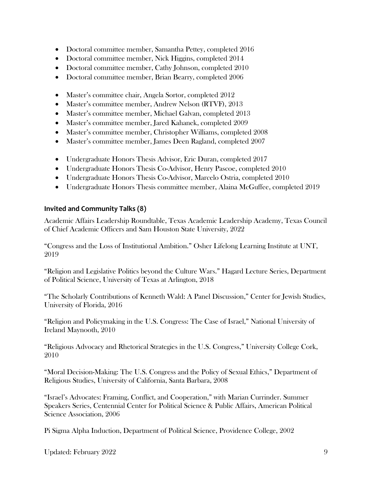- Doctoral committee member, Samantha Pettey, completed 2016
- Doctoral committee member, Nick Higgins, completed 2014
- Doctoral committee member, Cathy Johnson, completed 2010
- Doctoral committee member, Brian Bearry, completed 2006
- Master's committee chair, Angela Sortor, completed 2012
- Master's committee member, Andrew Nelson (RTVF), 2013
- Master's committee member, Michael Galvan, completed 2013
- Master's committee member, Jared Kahanek, completed 2009
- Master's committee member, Christopher Williams, completed 2008
- Master's committee member, James Deen Ragland, completed 2007
- Undergraduate Honors Thesis Advisor, Eric Duran, completed 2017
- Undergraduate Honors Thesis Co-Advisor, Henry Pascoe, completed 2010
- Undergraduate Honors Thesis Co-Advisor, Marcelo Ostria, completed 2010
- Undergraduate Honors Thesis committee member, Alaina McGuffee, completed 2019

## **Invited and Community Talks (8)**

Academic Affairs Leadership Roundtable, Texas Academic Leadership Academy, Texas Council of Chief Academic Officers and Sam Houston State University, 2022

"Congress and the Loss of Institutional Ambition." Osher Lifelong Learning Institute at UNT, 2019

"Religion and Legislative Politics beyond the Culture Wars." Hagard Lecture Series, Department of Political Science, University of Texas at Arlington, 2018

"The Scholarly Contributions of Kenneth Wald: A Panel Discussion," Center for Jewish Studies, University of Florida, 2016

"Religion and Policymaking in the U.S. Congress: The Case of Israel," National University of Ireland Maynooth, 2010

"Religious Advocacy and Rhetorical Strategies in the U.S. Congress," University College Cork, 2010

"Moral Decision-Making: The U.S. Congress and the Policy of Sexual Ethics," Department of Religious Studies, University of California, Santa Barbara, 2008

"Israel's Advocates: Framing, Conflict, and Cooperation," with Marian Currinder. Summer Speakers Series, Centennial Center for Political Science & Public Affairs, American Political Science Association, 2006

Pi Sigma Alpha Induction, Department of Political Science, Providence College, 2002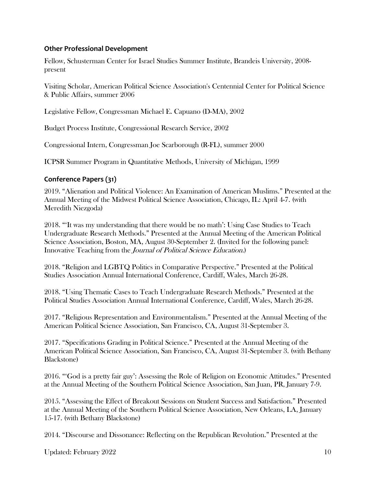## **Other Professional Development**

Fellow, Schusterman Center for Israel Studies Summer Institute, Brandeis University, 2008 present

Visiting Scholar, American Political Science Association's Centennial Center for Political Science & Public Affairs, summer 2006

Legislative Fellow, Congressman Michael E. Capuano (D-MA), 2002

Budget Process Institute, Congressional Research Service, 2002

Congressional Intern, Congressman Joe Scarborough (R-FL), summer 2000

ICPSR Summer Program in Quantitative Methods, University of Michigan, 1999

# **Conference Papers (31)**

2019. "Alienation and Political Violence: An Examination of American Muslims." Presented at the Annual Meeting of the Midwest Political Science Association, Chicago, IL: April 4-7. (with Meredith Niezgoda)

2018. "'It was my understanding that there would be no math': Using Case Studies to Teach Undergraduate Research Methods." Presented at the Annual Meeting of the American Political Science Association, Boston, MA, August 30-September 2. (Invited for the following panel: Innovative Teaching from the Journal of Political Science Education.)

2018. "Religion and LGBTQ Politics in Comparative Perspective." Presented at the Political Studies Association Annual International Conference, Cardiff, Wales, March 26-28.

2018. "Using Thematic Cases to Teach Undergraduate Research Methods." Presented at the Political Studies Association Annual International Conference, Cardiff, Wales, March 26-28.

2017. "Religious Representation and Environmentalism." Presented at the Annual Meeting of the American Political Science Association, San Francisco, CA, August 31-September 3.

2017. "Specifications Grading in Political Science." Presented at the Annual Meeting of the American Political Science Association, San Francisco, CA, August 31-September 3. (with Bethany Blackstone)

2016. "'God is a pretty fair guy': Assessing the Role of Religion on Economic Attitudes." Presented at the Annual Meeting of the Southern Political Science Association, San Juan, PR, January 7-9.

2015. "Assessing the Effect of Breakout Sessions on Student Success and Satisfaction." Presented at the Annual Meeting of the Southern Political Science Association, New Orleans, LA, January 15-17. (with Bethany Blackstone)

2014. "Discourse and Dissonance: Reflecting on the Republican Revolution." Presented at the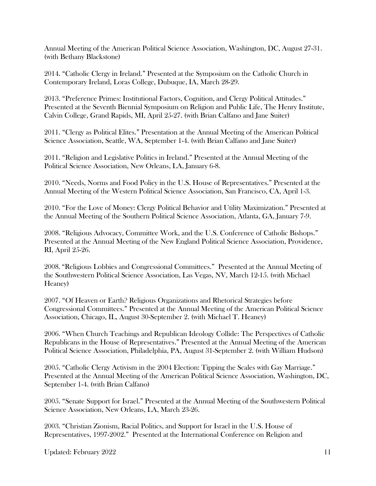Annual Meeting of the American Political Science Association, Washington, DC, August 27-31. (with Bethany Blackstone)

2014. "Catholic Clergy in Ireland." Presented at the Symposium on the Catholic Church in Contemporary Ireland, Loras College, Dubuque, IA, March 28-29.

2013. "Preference Primes: Institutional Factors, Cognition, and Clergy Political Attitudes." Presented at the Seventh Biennial Symposium on Religion and Public Life, The Henry Institute, Calvin College, Grand Rapids, MI, April 25-27. (with Brian Calfano and Jane Suiter)

2011. "Clergy as Political Elites." Presentation at the Annual Meeting of the American Political Science Association, Seattle, WA, September 1-4. (with Brian Calfano and Jane Suiter)

2011. "Religion and Legislative Politics in Ireland." Presented at the Annual Meeting of the Political Science Association, New Orleans, LA, January 6-8.

2010. "Needs, Norms and Food Policy in the U.S. House of Representatives." Presented at the Annual Meeting of the Western Political Science Association, San Francisco, CA, April 1-3.

2010. "For the Love of Money: Clergy Political Behavior and Utility Maximization." Presented at the Annual Meeting of the Southern Political Science Association, Atlanta, GA, January 7-9.

2008. "Religious Advocacy, Committee Work, and the U.S. Conference of Catholic Bishops." Presented at the Annual Meeting of the New England Political Science Association, Providence, RI, April 25-26.

2008. "Religious Lobbies and Congressional Committees." Presented at the Annual Meeting of the Southwestern Political Science Association, Las Vegas, NV, March 12-15. (with Michael Heaney)

2007. "Of Heaven or Earth? Religious Organizations and Rhetorical Strategies before Congressional Committees." Presented at the Annual Meeting of the American Political Science Association, Chicago, IL, August 30-September 2. (with Michael T. Heaney)

2006. "When Church Teachings and Republican Ideology Collide: The Perspectives of Catholic Republicans in the House of Representatives." Presented at the Annual Meeting of the American Political Science Association, Philadelphia, PA, August 31-September 2. (with William Hudson)

2005. "Catholic Clergy Activism in the 2004 Election: Tipping the Scales with Gay Marriage." Presented at the Annual Meeting of the American Political Science Association, Washington, DC, September 1-4. (with Brian Calfano)

2005. "Senate Support for Israel." Presented at the Annual Meeting of the Southwestern Political Science Association, New Orleans, LA, March 23-26.

2003. "Christian Zionism, Racial Politics, and Support for Israel in the U.S. House of Representatives, 1997-2002." Presented at the International Conference on Religion and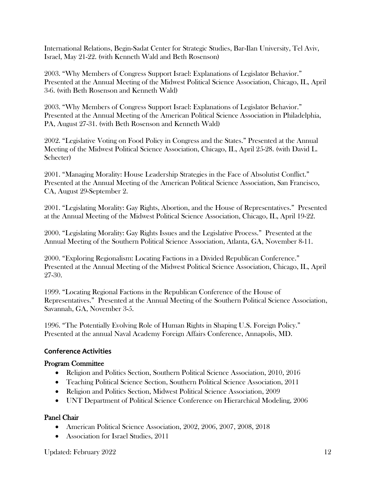International Relations, Begin-Sadat Center for Strategic Studies, Bar-Ilan University, Tel Aviv, Israel, May 21-22. (with Kenneth Wald and Beth Rosenson)

2003. "Why Members of Congress Support Israel: Explanations of Legislator Behavior." Presented at the Annual Meeting of the Midwest Political Science Association, Chicago, IL, April 3-6. (with Beth Rosenson and Kenneth Wald)

2003. "Why Members of Congress Support Israel: Explanations of Legislator Behavior." Presented at the Annual Meeting of the American Political Science Association in Philadelphia, PA, August 27-31. (with Beth Rosenson and Kenneth Wald)

2002. "Legislative Voting on Food Policy in Congress and the States." Presented at the Annual Meeting of the Midwest Political Science Association, Chicago, IL, April 25-28. (with David L. Schecter)

2001. "Managing Morality: House Leadership Strategies in the Face of Absolutist Conflict." Presented at the Annual Meeting of the American Political Science Association, San Francisco, CA, August 29-September 2.

2001. "Legislating Morality: Gay Rights, Abortion, and the House of Representatives." Presented at the Annual Meeting of the Midwest Political Science Association, Chicago, IL, April 19-22.

2000. "Legislating Morality: Gay Rights Issues and the Legislative Process." Presented at the Annual Meeting of the Southern Political Science Association, Atlanta, GA, November 8-11.

2000. "Exploring Regionalism: Locating Factions in a Divided Republican Conference." Presented at the Annual Meeting of the Midwest Political Science Association, Chicago, IL, April 27-30.

1999. "Locating Regional Factions in the Republican Conference of the House of Representatives." Presented at the Annual Meeting of the Southern Political Science Association, Savannah, GA, November 3-5.

1996. "The Potentially Evolving Role of Human Rights in Shaping U.S. Foreign Policy." Presented at the annual Naval Academy Foreign Affairs Conference, Annapolis, MD.

## **Conference Activities**

## Program Committee

- Religion and Politics Section, Southern Political Science Association, 2010, 2016
- Teaching Political Science Section, Southern Political Science Association, 2011
- Religion and Politics Section, Midwest Political Science Association, 2009
- UNT Department of Political Science Conference on Hierarchical Modeling, 2006

## Panel Chair

- American Political Science Association, 2002, 2006, 2007, 2008, 2018
- Association for Israel Studies, 2011

Updated: February 2022 12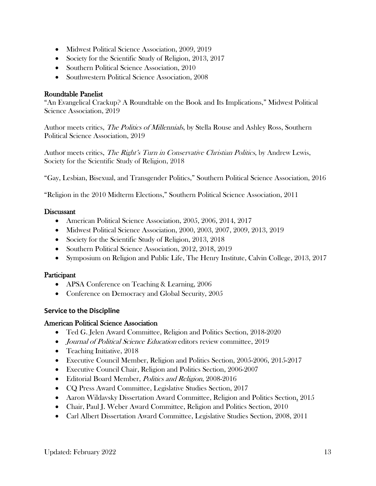- Midwest Political Science Association, 2009, 2019
- Society for the Scientific Study of Religion, 2013, 2017
- Southern Political Science Association, 2010
- Southwestern Political Science Association, 2008

## Roundtable Panelist

"An Evangelical Crackup? A Roundtable on the Book and Its Implications," Midwest Political Science Association, 2019

Author meets critics, *The Politics of Millennials*, by Stella Rouse and Ashley Ross, Southern Political Science Association, 2019

Author meets critics, *The Right's Turn in Conservative Christian Politics*, by Andrew Lewis, Society for the Scientific Study of Religion, 2018

"Gay, Lesbian, Bisexual, and Transgender Politics," Southern Political Science Association, 2016

"Religion in the 2010 Midterm Elections," Southern Political Science Association, 2011

## Discussant

- American Political Science Association, 2005, 2006, 2014, 2017
- Midwest Political Science Association, 2000, 2003, 2007, 2009, 2013, 2019
- Society for the Scientific Study of Religion, 2013, 2018
- Southern Political Science Association, 2012, 2018, 2019
- Symposium on Religion and Public Life, The Henry Institute, Calvin College, 2013, 2017

## **Participant**

- APSA Conference on Teaching & Learning, 2006
- Conference on Democracy and Global Security, 2005

# **Service to the Discipline**

## American Political Science Association

- Ted G. Jelen Award Committee, Religion and Politics Section, 2018-2020
- *Journal of Political Science Education* editors review committee, 2019
- Teaching Initiative, 2018
- Executive Council Member, Religion and Politics Section, 2005-2006, 2015-2017
- Executive Council Chair, Religion and Politics Section, 2006-2007
- Editorial Board Member, *Politics and Religion*, 2008-2016
- CQ Press Award Committee, Legislative Studies Section, 2017
- Aaron Wildavsky Dissertation Award Committee, Religion and Politics Section, 2015
- Chair, Paul J. Weber Award Committee, Religion and Politics Section, 2010
- Carl Albert Dissertation Award Committee, Legislative Studies Section, 2008, 2011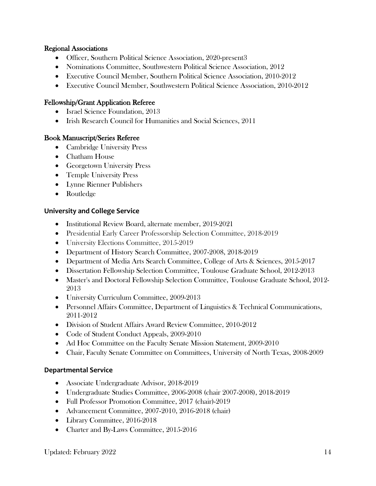## Regional Associations

- Officer, Southern Political Science Association, 2020-present3
- Nominations Committee, Southwestern Political Science Association, 2012
- Executive Council Member, Southern Political Science Association, 2010-2012
- Executive Council Member, Southwestern Political Science Association, 2010-2012

## Fellowship/Grant Application Referee

- Israel Science Foundation, 2013
- Irish Research Council for Humanities and Social Sciences, 2011

## Book Manuscript/Series Referee

- Cambridge University Press
- Chatham House
- Georgetown University Press
- Temple University Press
- Lynne Rienner Publishers
- Routledge

## **University and College Service**

- Institutional Review Board, alternate member, 2019-2021
- Presidential Early Career Professorship Selection Committee, 2018-2019
- University Elections Committee, 2015-2019
- Department of History Search Committee, 2007-2008, 2018-2019
- Department of Media Arts Search Committee, College of Arts & Sciences, 2015-2017
- Dissertation Fellowship Selection Committee, Toulouse Graduate School, 2012-2013
- Master's and Doctoral Fellowship Selection Committee, Toulouse Graduate School, 2012- 2013
- University Curriculum Committee, 2009-2013
- Personnel Affairs Committee, Department of Linguistics & Technical Communications, 2011-2012
- Division of Student Affairs Award Review Committee, 2010-2012
- Code of Student Conduct Appeals, 2009-2010
- Ad Hoc Committee on the Faculty Senate Mission Statement, 2009-2010
- Chair, Faculty Senate Committee on Committees, University of North Texas, 2008-2009

## **Departmental Service**

- Associate Undergraduate Advisor, 2018-2019
- Undergraduate Studies Committee, 2006-2008 (chair 2007-2008), 2018-2019
- Full Professor Promotion Committee, 2017 (chair)-2019
- Advancement Committee, 2007-2010, 2016-2018 (chair)
- Library Committee, 2016-2018
- Charter and By-Laws Committee, 2015-2016